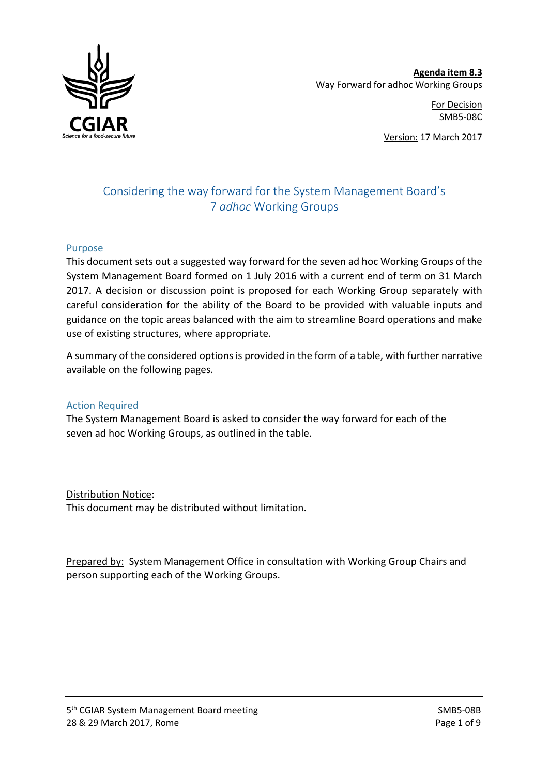

**Agenda item 8.3**  Way Forward for adhoc Working Groups

> For Decision SMB5-08C

Version: 17 March 2017

# Considering the way forward for the System Management Board's 7 *adhoc* Working Groups

#### Purpose

This document sets out a suggested way forward for the seven ad hoc Working Groups of the System Management Board formed on 1 July 2016 with a current end of term on 31 March 2017. A decision or discussion point is proposed for each Working Group separately with careful consideration for the ability of the Board to be provided with valuable inputs and guidance on the topic areas balanced with the aim to streamline Board operations and make use of existing structures, where appropriate.

A summary of the considered optionsis provided in the form of a table, with further narrative available on the following pages.

#### Action Required

The System Management Board is asked to consider the way forward for each of the seven ad hoc Working Groups, as outlined in the table.

Distribution Notice: This document may be distributed without limitation.

Prepared by: System Management Office in consultation with Working Group Chairs and person supporting each of the Working Groups.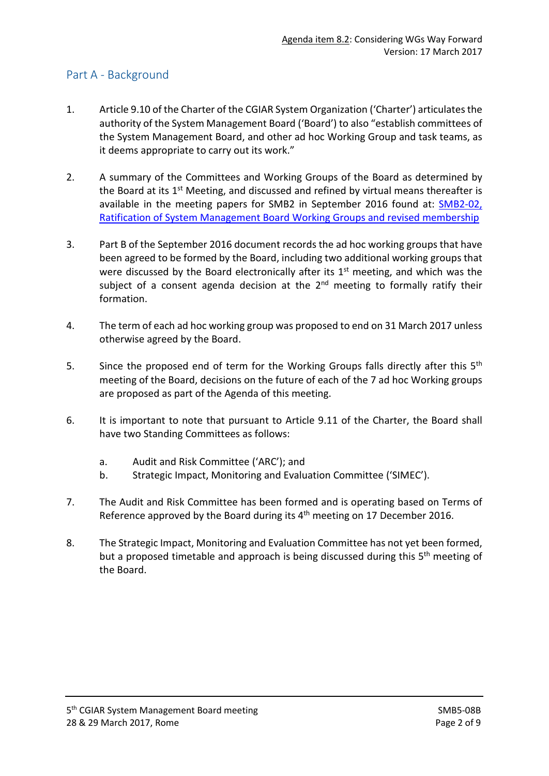#### Part A - Background

- 1. Article 9.10 of the Charter of the CGIAR System Organization ('Charter') articulates the authority of the System Management Board ('Board') to also "establish committees of the System Management Board, and other ad hoc Working Group and task teams, as it deems appropriate to carry out its work."
- 2. A summary of the Committees and Working Groups of the Board as determined by the Board at its  $1<sup>st</sup>$  Meeting, and discussed and refined by virtual means thereafter is available in the meeting papers for SMB2 in September 2016 found at: **SMB2-02**, [Ratification of System Management Board Working Groups and revised membership](http://www.cgiar.org/wp-content/uploads/2016/09/SMB2-02-Overview-SMB_Cmtes-and-WGroups.pdf)
- 3. Part B of the September 2016 document records the ad hoc working groups that have been agreed to be formed by the Board, including two additional working groups that were discussed by the Board electronically after its  $1<sup>st</sup>$  meeting, and which was the subject of a consent agenda decision at the  $2<sup>nd</sup>$  meeting to formally ratify their formation.
- 4. The term of each ad hoc working group was proposed to end on 31 March 2017 unless otherwise agreed by the Board.
- 5. Since the proposed end of term for the Working Groups falls directly after this 5<sup>th</sup> meeting of the Board, decisions on the future of each of the 7 ad hoc Working groups are proposed as part of the Agenda of this meeting.
- 6. It is important to note that pursuant to Article 9.11 of the Charter, the Board shall have two Standing Committees as follows:
	- a. Audit and Risk Committee ('ARC'); and
	- b. Strategic Impact, Monitoring and Evaluation Committee ('SIMEC').
- 7. The Audit and Risk Committee has been formed and is operating based on Terms of Reference approved by the Board during its 4<sup>th</sup> meeting on 17 December 2016.
- 8. The Strategic Impact, Monitoring and Evaluation Committee has not yet been formed, but a proposed timetable and approach is being discussed during this 5<sup>th</sup> meeting of the Board.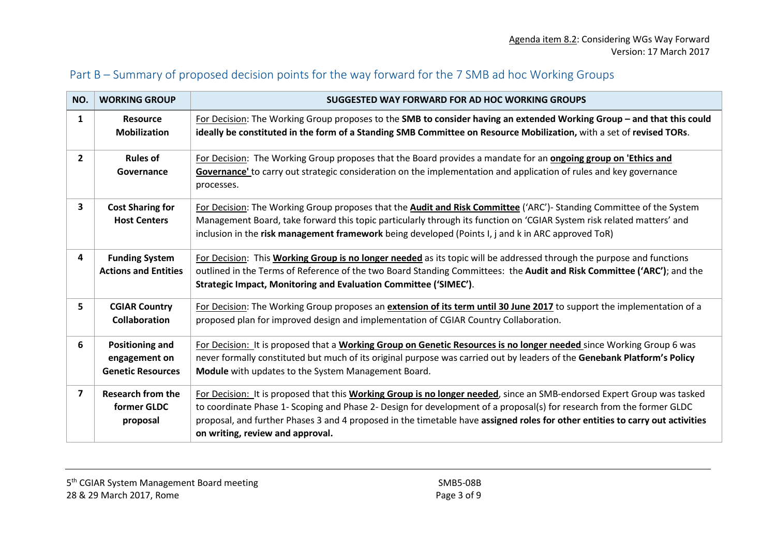# Part B – Summary of proposed decision points for the way forward for the 7 SMB ad hoc Working Groups

| NO.            | <b>WORKING GROUP</b>                                                | SUGGESTED WAY FORWARD FOR AD HOC WORKING GROUPS                                                                                                                                                                                                                                                                                                                                                                       |  |  |
|----------------|---------------------------------------------------------------------|-----------------------------------------------------------------------------------------------------------------------------------------------------------------------------------------------------------------------------------------------------------------------------------------------------------------------------------------------------------------------------------------------------------------------|--|--|
| $\mathbf{1}$   | <b>Resource</b><br><b>Mobilization</b>                              | For Decision: The Working Group proposes to the SMB to consider having an extended Working Group - and that this could<br>ideally be constituted in the form of a Standing SMB Committee on Resource Mobilization, with a set of revised TORs.                                                                                                                                                                        |  |  |
| $\mathbf{2}$   | <b>Rules of</b><br>Governance                                       | For Decision: The Working Group proposes that the Board provides a mandate for an <b>ongoing group on 'Ethics and</b><br>Governance' to carry out strategic consideration on the implementation and application of rules and key governance<br>processes.                                                                                                                                                             |  |  |
| 3              | <b>Cost Sharing for</b><br><b>Host Centers</b>                      | For Decision: The Working Group proposes that the <b>Audit and Risk Committee</b> ('ARC')- Standing Committee of the System<br>Management Board, take forward this topic particularly through its function on 'CGIAR System risk related matters' and<br>inclusion in the risk management framework being developed (Points I, j and k in ARC approved ToR)                                                           |  |  |
| 4              | <b>Funding System</b><br><b>Actions and Entities</b>                | For Decision: This Working Group is no longer needed as its topic will be addressed through the purpose and functions<br>outlined in the Terms of Reference of the two Board Standing Committees: the Audit and Risk Committee ('ARC'); and the<br>Strategic Impact, Monitoring and Evaluation Committee ('SIMEC').                                                                                                   |  |  |
| 5              | <b>CGIAR Country</b><br><b>Collaboration</b>                        | For Decision: The Working Group proposes an extension of its term until 30 June 2017 to support the implementation of a<br>proposed plan for improved design and implementation of CGIAR Country Collaboration.                                                                                                                                                                                                       |  |  |
| 6              | <b>Positioning and</b><br>engagement on<br><b>Genetic Resources</b> | For Decision: It is proposed that a Working Group on Genetic Resources is no longer needed since Working Group 6 was<br>never formally constituted but much of its original purpose was carried out by leaders of the Genebank Platform's Policy<br>Module with updates to the System Management Board.                                                                                                               |  |  |
| $\overline{ }$ | <b>Research from the</b><br>former GLDC<br>proposal                 | For Decision: It is proposed that this Working Group is no longer needed, since an SMB-endorsed Expert Group was tasked<br>to coordinate Phase 1- Scoping and Phase 2- Design for development of a proposal(s) for research from the former GLDC<br>proposal, and further Phases 3 and 4 proposed in the timetable have assigned roles for other entities to carry out activities<br>on writing, review and approval. |  |  |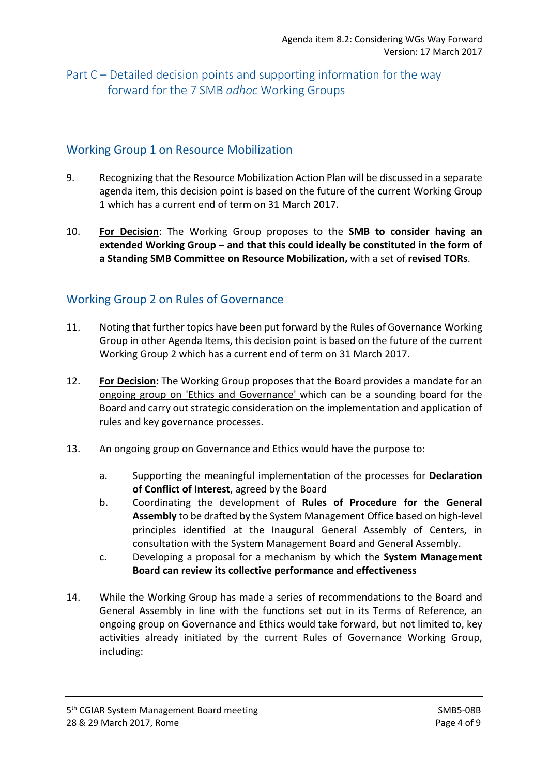# Part C – Detailed decision points and supporting information for the way forward for the 7 SMB *adhoc* Working Groups

#### Working Group 1 on Resource Mobilization

- 9. Recognizing that the Resource Mobilization Action Plan will be discussed in a separate agenda item, this decision point is based on the future of the current Working Group 1 which has a current end of term on 31 March 2017.
- 10. **For Decision**: The Working Group proposes to the **SMB to consider having an extended Working Group – and that this could ideally be constituted in the form of a Standing SMB Committee on Resource Mobilization,** with a set of **revised TORs**.

#### Working Group 2 on Rules of Governance

- 11. Noting that further topics have been put forward by the Rules of Governance Working Group in other Agenda Items, this decision point is based on the future of the current Working Group 2 which has a current end of term on 31 March 2017.
- 12. **For Decision:** The Working Group proposes that the Board provides a mandate for an ongoing group on 'Ethics and Governance' which can be a sounding board for the Board and carry out strategic consideration on the implementation and application of rules and key governance processes.
- 13. An ongoing group on Governance and Ethics would have the purpose to:
	- a. Supporting the meaningful implementation of the processes for **Declaration of Conflict of Interest**, agreed by the Board
	- b. Coordinating the development of **Rules of Procedure for the General Assembly** to be drafted by the System Management Office based on high-level principles identified at the Inaugural General Assembly of Centers, in consultation with the System Management Board and General Assembly.
	- c. Developing a proposal for a mechanism by which the **System Management Board can review its collective performance and effectiveness**
- 14. While the Working Group has made a series of recommendations to the Board and General Assembly in line with the functions set out in its Terms of Reference, an ongoing group on Governance and Ethics would take forward, but not limited to, key activities already initiated by the current Rules of Governance Working Group, including: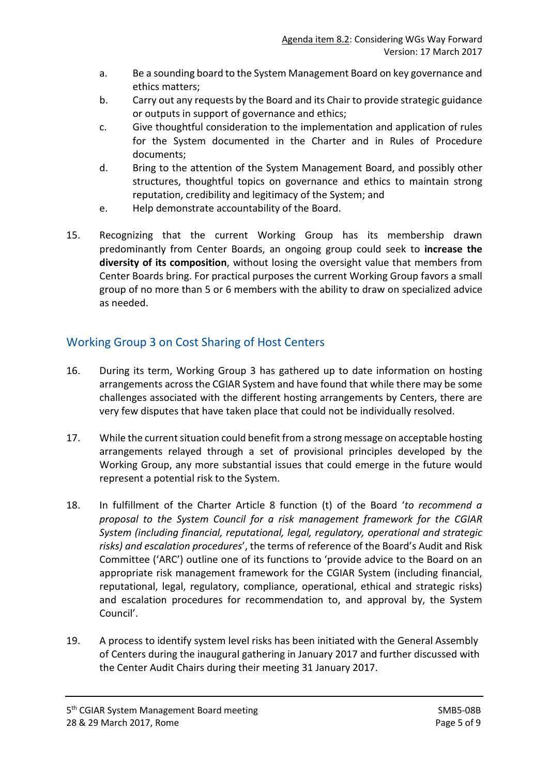- a. Be a sounding board to the System Management Board on key governance and ethics matters;
- b. Carry out any requests by the Board and its Chair to provide strategic guidance or outputs in support of governance and ethics;
- c. Give thoughtful consideration to the implementation and application of rules for the System documented in the Charter and in Rules of Procedure documents;
- d. Bring to the attention of the System Management Board, and possibly other structures, thoughtful topics on governance and ethics to maintain strong reputation, credibility and legitimacy of the System; and
- e. Help demonstrate accountability of the Board.
- 15. Recognizing that the current Working Group has its membership drawn predominantly from Center Boards, an ongoing group could seek to **increase the diversity of its composition**, without losing the oversight value that members from Center Boards bring. For practical purposes the current Working Group favors a small group of no more than 5 or 6 members with the ability to draw on specialized advice as needed.

# Working Group 3 on Cost Sharing of Host Centers

- 16. During its term, Working Group 3 has gathered up to date information on hosting arrangements across the CGIAR System and have found that while there may be some challenges associated with the different hosting arrangements by Centers, there are very few disputes that have taken place that could not be individually resolved.
- 17. While the current situation could benefit from a strong message on acceptable hosting arrangements relayed through a set of provisional principles developed by the Working Group, any more substantial issues that could emerge in the future would represent a potential risk to the System.
- 18. In fulfillment of the Charter Article 8 function (t) of the Board '*to recommend a proposal to the System Council for a risk management framework for the CGIAR System (including financial, reputational, legal, regulatory, operational and strategic risks) and escalation procedures*', the terms of reference of the Board's Audit and Risk Committee ('ARC') outline one of its functions to 'provide advice to the Board on an appropriate risk management framework for the CGIAR System (including financial, reputational, legal, regulatory, compliance, operational, ethical and strategic risks) and escalation procedures for recommendation to, and approval by, the System Council'.
- 19. A process to identify system level risks has been initiated with the General Assembly of Centers during the inaugural gathering in January 2017 and further discussed with the Center Audit Chairs during their meeting 31 January 2017.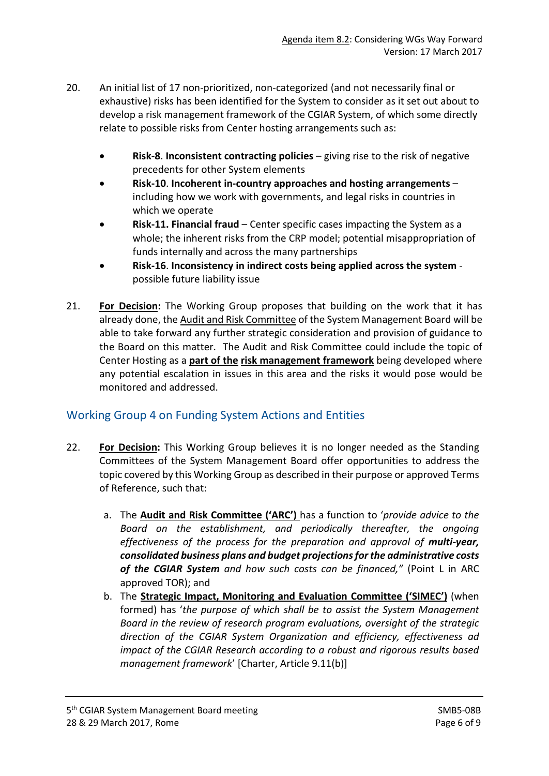- 20. An initial list of 17 non-prioritized, non-categorized (and not necessarily final or exhaustive) risks has been identified for the System to consider as it set out about to develop a risk management framework of the CGIAR System, of which some directly relate to possible risks from Center hosting arrangements such as:
	- **Risk-8**. **Inconsistent contracting policies** giving rise to the risk of negative precedents for other System elements
	- **Risk-10**. **Incoherent in-country approaches and hosting arrangements** including how we work with governments, and legal risks in countries in which we operate
	- **Risk-11. Financial fraud** Center specific cases impacting the System as a whole; the inherent risks from the CRP model; potential misappropriation of funds internally and across the many partnerships
	- **Risk-16**. **Inconsistency in indirect costs being applied across the system** possible future liability issue
- 21. **For Decision:** The Working Group proposes that building on the work that it has already done, the Audit and Risk Committee of the System Management Board will be able to take forward any further strategic consideration and provision of guidance to the Board on this matter. The Audit and Risk Committee could include the topic of Center Hosting as a **part of the risk management framework** being developed where any potential escalation in issues in this area and the risks it would pose would be monitored and addressed.

## Working Group 4 on Funding System Actions and Entities

- 22. **For Decision:** This Working Group believes it is no longer needed as the Standing Committees of the System Management Board offer opportunities to address the topic covered by this Working Group as described in their purpose or approved Terms of Reference, such that:
	- a. The **Audit and Risk Committee ('ARC')** has a function to '*provide advice to the Board on the establishment, and periodically thereafter, the ongoing effectiveness of the process for the preparation and approval of multi-year, consolidated business plans and budget projections for the administrative costs of the CGIAR System and how such costs can be financed,"* (Point L in ARC approved TOR); and
	- b. The **Strategic Impact, Monitoring and Evaluation Committee ('SIMEC')** (when formed) has '*the purpose of which shall be to assist the System Management Board in the review of research program evaluations, oversight of the strategic direction of the CGIAR System Organization and efficiency, effectiveness ad impact of the CGIAR Research according to a robust and rigorous results based management framework*' [Charter, Article 9.11(b)]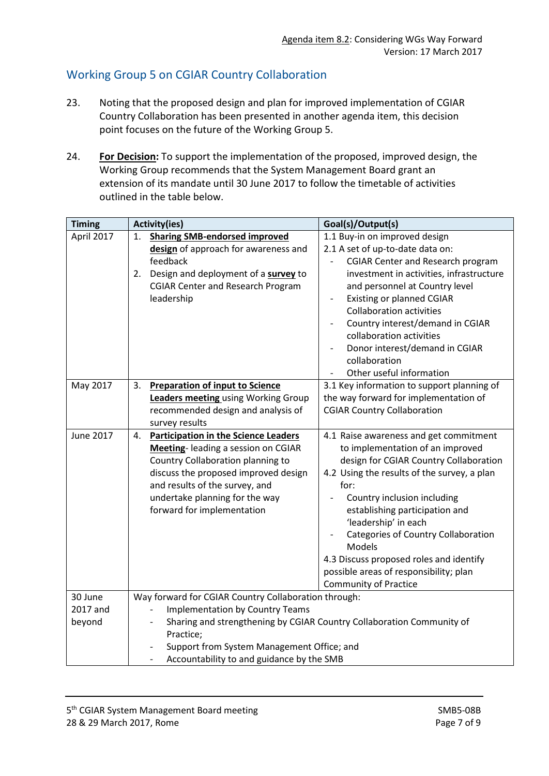# Working Group 5 on CGIAR Country Collaboration

- 23. Noting that the proposed design and plan for improved implementation of CGIAR Country Collaboration has been presented in another agenda item, this decision point focuses on the future of the Working Group 5.
- 24. **For Decision:** To support the implementation of the proposed, improved design, the Working Group recommends that the System Management Board grant an extension of its mandate until 30 June 2017 to follow the timetable of activities outlined in the table below.

| <b>Timing</b>                 | <b>Activity(ies)</b>                                                                                                                                                                                                                                                            | Goal(s)/Output(s)                                                                                                                                                                                                                                                                                                                                                                                                                          |  |  |  |
|-------------------------------|---------------------------------------------------------------------------------------------------------------------------------------------------------------------------------------------------------------------------------------------------------------------------------|--------------------------------------------------------------------------------------------------------------------------------------------------------------------------------------------------------------------------------------------------------------------------------------------------------------------------------------------------------------------------------------------------------------------------------------------|--|--|--|
| April 2017                    | <b>Sharing SMB-endorsed improved</b><br>1.<br>design of approach for awareness and<br>feedback<br>Design and deployment of a survey to<br>2.<br><b>CGIAR Center and Research Program</b><br>leadership                                                                          | 1.1 Buy-in on improved design<br>2.1 A set of up-to-date data on:<br><b>CGIAR Center and Research program</b><br>investment in activities, infrastructure<br>and personnel at Country level<br><b>Existing or planned CGIAR</b><br><b>Collaboration activities</b><br>Country interest/demand in CGIAR<br>collaboration activities<br>Donor interest/demand in CGIAR<br>collaboration<br>Other useful information                          |  |  |  |
| May 2017                      | <b>Preparation of input to Science</b><br>3.<br>Leaders meeting using Working Group<br>recommended design and analysis of<br>survey results                                                                                                                                     | 3.1 Key information to support planning of<br>the way forward for implementation of<br><b>CGIAR Country Collaboration</b>                                                                                                                                                                                                                                                                                                                  |  |  |  |
| <b>June 2017</b>              | <b>Participation in the Science Leaders</b><br>4.<br>Meeting-leading a session on CGIAR<br>Country Collaboration planning to<br>discuss the proposed improved design<br>and results of the survey, and<br>undertake planning for the way<br>forward for implementation          | 4.1 Raise awareness and get commitment<br>to implementation of an improved<br>design for CGIAR Country Collaboration<br>4.2 Using the results of the survey, a plan<br>for:<br>Country inclusion including<br>establishing participation and<br>'leadership' in each<br>Categories of Country Collaboration<br>Models<br>4.3 Discuss proposed roles and identify<br>possible areas of responsibility; plan<br><b>Community of Practice</b> |  |  |  |
| 30 June<br>2017 and<br>beyond | Way forward for CGIAR Country Collaboration through:<br><b>Implementation by Country Teams</b><br>Sharing and strengthening by CGIAR Country Collaboration Community of<br>Practice;<br>Support from System Management Office; and<br>Accountability to and guidance by the SMB |                                                                                                                                                                                                                                                                                                                                                                                                                                            |  |  |  |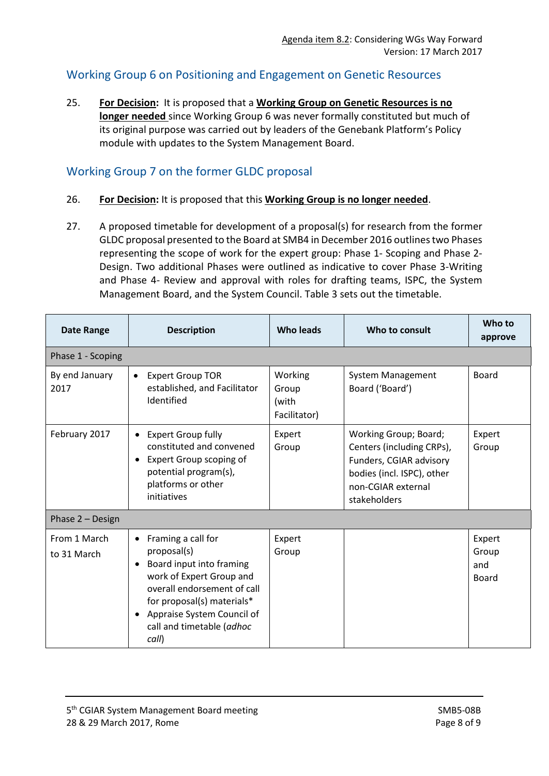## Working Group 6 on Positioning and Engagement on Genetic Resources

25. **For Decision:** It is proposed that a **Working Group on Genetic Resources is no longer needed** since Working Group 6 was never formally constituted but much of its original purpose was carried out by leaders of the Genebank Platform's Policy module with updates to the System Management Board.

# Working Group 7 on the former GLDC proposal

- 26. **For Decision:** It is proposed that this **Working Group is no longer needed**.
- 27. A proposed timetable for development of a proposal(s) for research from the former GLDC proposal presented to the Board at SMB4 in December 2016 outlinestwo Phases representing the scope of work for the expert group: Phase 1- Scoping and Phase 2- Design. Two additional Phases were outlined as indicative to cover Phase 3-Writing and Phase 4- Review and approval with roles for drafting teams, ISPC, the System Management Board, and the System Council. Table 3 sets out the timetable.

| <b>Date Range</b>           | <b>Description</b>                                                                                                                                                                                                                                                | <b>Who leads</b>                          | Who to consult                                                                                                                                    | Who to<br>approve               |  |  |  |  |
|-----------------------------|-------------------------------------------------------------------------------------------------------------------------------------------------------------------------------------------------------------------------------------------------------------------|-------------------------------------------|---------------------------------------------------------------------------------------------------------------------------------------------------|---------------------------------|--|--|--|--|
| Phase 1 - Scoping           |                                                                                                                                                                                                                                                                   |                                           |                                                                                                                                                   |                                 |  |  |  |  |
| By end January<br>2017      | <b>Expert Group TOR</b><br>$\bullet$<br>established, and Facilitator<br>Identified                                                                                                                                                                                | Working<br>Group<br>(with<br>Facilitator) | <b>System Management</b><br>Board ('Board')                                                                                                       | <b>Board</b>                    |  |  |  |  |
| February 2017               | <b>Expert Group fully</b><br>$\bullet$<br>constituted and convened<br>Expert Group scoping of<br>potential program(s),<br>platforms or other<br>initiatives                                                                                                       | Expert<br>Group                           | Working Group; Board;<br>Centers (including CRPs),<br>Funders, CGIAR advisory<br>bodies (incl. ISPC), other<br>non-CGIAR external<br>stakeholders | Expert<br>Group                 |  |  |  |  |
| Phase 2 - Design            |                                                                                                                                                                                                                                                                   |                                           |                                                                                                                                                   |                                 |  |  |  |  |
| From 1 March<br>to 31 March | Framing a call for<br>$\bullet$<br>proposal(s)<br>Board input into framing<br>$\bullet$<br>work of Expert Group and<br>overall endorsement of call<br>for proposal(s) materials*<br>Appraise System Council of<br>$\bullet$<br>call and timetable (adhoc<br>call) | Expert<br>Group                           |                                                                                                                                                   | Expert<br>Group<br>and<br>Board |  |  |  |  |